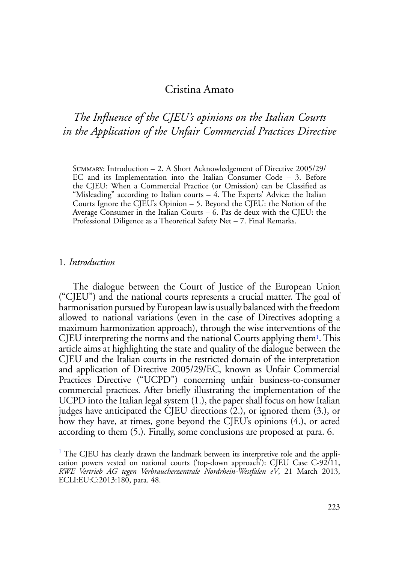## Cristina Amato

# *The Influence of the CJEU's opinions on the Italian Courts in the Application of the Unfair Commercial Practices Directive*

Summary: Introduction – 2. A Short Acknowledgement of Directive 2005/29/ EC and its Implementation into the Italian Consumer Code – 3. Before the CJEU: When a Commercial Practice (or Omission) can be Classified as "Misleading" according to Italian courts – 4. The Experts' Advice: the Italian Courts Ignore the CJEU's Opinion – 5. Beyond the CJEU: the Notion of the Average Consumer in the Italian Courts – 6. Pas de deux with the CJEU: the Professional Diligence as a Theoretical Safety Net – 7. Final Remarks.

#### 1. *Introduction*

The dialogue between the Court of Justice of the European Union ("CJEU") and the national courts represents a crucial matter. The goal of harmonisation pursued by European law is usually balanced with the freedom allowed to national variations (even in the case of Directives adopting a maximum harmonization approach), through the wise interventions of the CJEU interpreting the norms and the national Courts applying them1. This article aims at highlighting the state and quality of the dialogue between the CJEU and the Italian courts in the restricted domain of the interpretation and application of Directive 2005/29/EC, known as Unfair Commercial Practices Directive ("UCPD") concerning unfair business-to-consumer commercial practices. After briefly illustrating the implementation of the UCPD into the Italian legal system (1.), the paper shall focus on how Italian judges have anticipated the CJEU directions (2.), or ignored them (3.), or how they have, at times, gone beyond the CJEU's opinions (4.), or acted according to them (5.). Finally, some conclusions are proposed at para. 6.

<sup>&</sup>lt;sup>1</sup> The CJEU has clearly drawn the landmark between its interpretive role and the application powers vested on national courts ('top-down approach'): CJEU Case C-92/11, *RWE Vertrieb AG tegen Verbraucherzentrale Nordrhein-Westfalen eV*, 21 March 2013, ECLI:EU:C:2013:180, para. 48.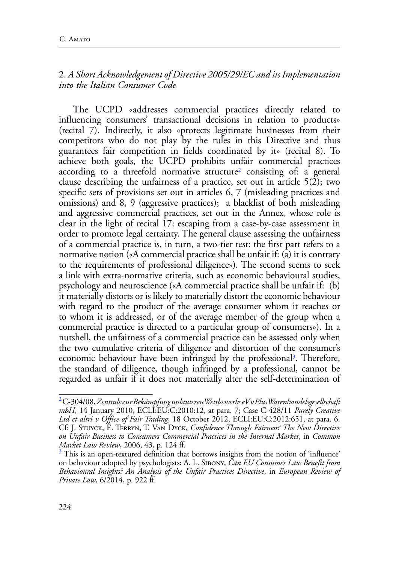## 2. *A Short Acknowledgement of Directive 2005/29/EC and its Implementation into the Italian Consumer Code*

The UCPD «addresses commercial practices directly related to influencing consumers' transactional decisions in relation to products» (recital 7). Indirectly, it also «protects legitimate businesses from their competitors who do not play by the rules in this Directive and thus guarantees fair competition in fields coordinated by it» (recital 8). To achieve both goals, the UCPD prohibits unfair commercial practices according to a threefold normative structure<sup>2</sup> consisting of: a general clause describing the unfairness of a practice, set out in article 5(2); two specific sets of provisions set out in articles 6, 7 (misleading practices and omissions) and 8, 9 (aggressive practices); a blacklist of both misleading and aggressive commercial practices, set out in the Annex, whose role is clear in the light of recital 17: escaping from a case-by-case assessment in order to promote legal certainty. The general clause assessing the unfairness of a commercial practice is, in turn, a two-tier test: the first part refers to a normative notion («A commercial practice shall be unfair if: (a) it is contrary to the requirements of professional diligence»). The second seems to seek a link with extra-normative criteria, such as economic behavioural studies, psychology and neuroscience («A commercial practice shall be unfair if: (b) it materially distorts or is likely to materially distort the economic behaviour with regard to the product of the average consumer whom it reaches or to whom it is addressed, or of the average member of the group when a commercial practice is directed to a particular group of consumers»). In a nutshell, the unfairness of a commercial practice can be assessed only when the two cumulative criteria of diligence and distortion of the consumer's economic behaviour have been infringed by the professional<sup>3</sup>. Therefore, the standard of diligence, though infringed by a professional, cannot be regarded as unfair if it does not materially alter the self-determination of

<sup>2</sup> C-304/08, *Zentrale zur Bekämpfung unlauteren Wettbewerbs eV v Plus Warenhandelsgesellschaft mbH*, 14 January 2010, ECLI:EU:C:2010:12, at para. 7; Case C-428/11 *Purely Creative Ltd et altri v Office of Fair Trading*, 18 October 2012, ECLI:EU:C:2012:651, at para. 6. Cf: J. Stuyck, E. Terryn, T. Van Dyck, *Confidence Through Fairness? The New Directive on Unfair Business to Consumers Commercial Practices in the Internal Market*, in *Common Market Law Review*, 2006, 43, p. 124 ff. <sup>3</sup>

 $3$  This is an open-textured definition that borrows insights from the notion of 'influence' on behaviour adopted by psychologists: A. L. Sibony, *Can EU Consumer Law Benefit from Behavioural Insights? An Analysis of the Unfair Practices Directive*, in *European Review of Private Law*, 6/2014, p. 922 ff.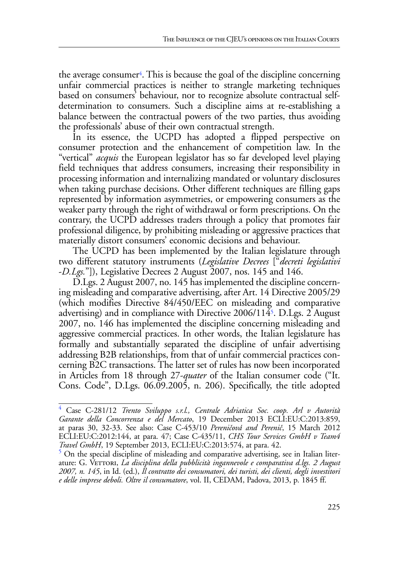the average consumer<sup>4</sup>. This is because the goal of the discipline concerning unfair commercial practices is neither to strangle marketing techniques based on consumers' behaviour, nor to recognize absolute contractual selfdetermination to consumers. Such a discipline aims at re-establishing a balance between the contractual powers of the two parties, thus avoiding the professionals' abuse of their own contractual strength.

In its essence, the UCPD has adopted a flipped perspective on consumer protection and the enhancement of competition law. In the "vertical" *acquis* the European legislator has so far developed level playing field techniques that address consumers, increasing their responsibility in processing information and internalizing mandated or voluntary disclosures when taking purchase decisions. Other different techniques are filling gaps represented by information asymmetries, or empowering consumers as the weaker party through the right of withdrawal or form prescriptions. On the contrary, the UCPD addresses traders through a policy that promotes fair professional diligence, by prohibiting misleading or aggressive practices that materially distort consumers' economic decisions and behaviour.

The UCPD has been implemented by the Italian legislature through two different statutory instruments (*Legislative Decrees* ["*decreti legislativi* -*D.Lgs.*"]), Legislative Decrees 2 August 2007, nos. 145 and 146.

D.Lgs. 2 August 2007, no. 145 has implemented the discipline concerning misleading and comparative advertising, after Art. 14 Directive 2005/29 (which modifies Directive 84/450/EEC on misleading and comparative advertising) and in compliance with Directive 2006/1145. D.Lgs. 2 August 2007, no. 146 has implemented the discipline concerning misleading and aggressive commercial practices. In other words, the Italian legislature has formally and substantially separated the discipline of unfair advertising addressing B2B relationships, from that of unfair commercial practices concerning B2C transactions. The latter set of rules has now been incorporated in Articles from 18 through 27-*quater* of the Italian consumer code ("It. Cons. Code", D.Lgs. 06.09.2005, n. 206). Specifically, the title adopted

<sup>4</sup> Case C-281/12 *Trento Sviluppo s.r.l., Centrale Adriatica Soc. coop. Arl v Autorità Garante della Concorrenza e del Mercato*, 19 December 2013 ECLI:EU:C:2013:859, at paras 30, 32-33. See also: Case C-453/10 *Pereničová and Perenič*, 15 March 2012 ECLI:EU:C:2012:144, at para. 47; Case C-435/11, *CHS Tour Services GmbH v Team4 Travel GmbH*, 19 September 2013, ECLI:EU:C:2013:574, at para. 42. <sup>5</sup>

 $5$  On the special discipline of misleading and comparative advertising, see in Italian literature: G. VETTORI, *La disciplina della pubblicità ingannevole e comparativa d.lgs. 2 August 2007, n. 145*, in Id. (ed.), *Il contratto dei consumatori, dei turisti, dei clienti, degli investitori e delle imprese deboli. Oltre il consumatore*, vol. II, CEDAM, Padova, 2013, p. 1845 ff.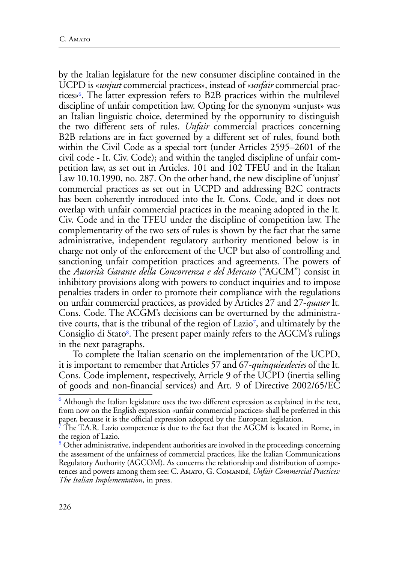by the Italian legislature for the new consumer discipline contained in the UCPD is «*unjust* commercial practices», instead of «*unfair* commercial practices»6. The latter expression refers to B2B practices within the multilevel discipline of unfair competition law. Opting for the synonym «unjust» was an Italian linguistic choice, determined by the opportunity to distinguish the two different sets of rules. *Unfair* commercial practices concerning B2B relations are in fact governed by a different set of rules, found both within the Civil Code as a special tort (under Articles 2595–2601 of the civil code - It. Civ. Code); and within the tangled discipline of unfair competition law, as set out in Articles. 101 and 102 TFEU and in the Italian Law 10.10.1990, no. 287. On the other hand, the new discipline of 'unjust' commercial practices as set out in UCPD and addressing B2C contracts has been coherently introduced into the It. Cons. Code, and it does not overlap with unfair commercial practices in the meaning adopted in the It. Civ. Code and in the TFEU under the discipline of competition law. The complementarity of the two sets of rules is shown by the fact that the same administrative, independent regulatory authority mentioned below is in charge not only of the enforcement of the UCP but also of controlling and sanctioning unfair competition practices and agreements. The powers of the *Autorità Garante della Concorrenza e del Mercato* ("AGCM") consist in inhibitory provisions along with powers to conduct inquiries and to impose penalties traders in order to promote their compliance with the regulations on unfair commercial practices, as provided by Articles 27 and 27-*quater* It. Cons. Code. The ACGM's decisions can be overturned by the administrative courts, that is the tribunal of the region of Lazio7, and ultimately by the Consiglio di Stato<sup>8</sup>. The present paper mainly refers to the AGCM's rulings in the next paragraphs.

To complete the Italian scenario on the implementation of the UCPD, it is important to remember that Articles 57 and 67-*quinquiesdecies* of the It. Cons. Code implement, respectively, Article 9 of the UCPD (inertia selling of goods and non-financial services) and Art. 9 of Directive 2002/65/EC

 $^6$  Although the Italian legislature uses the two different expression as explained in the text, from now on the English expression «unfair commercial practices» shall be preferred in this paper, because it is the official expression adopted by the European legislation.

<sup>7</sup> The T.A.R. Lazio competence is due to the fact that the AGCM is located in Rome, in the region of Lazio.

<sup>&</sup>lt;sup>8</sup> Other administrative, independent authorities are involved in the proceedings concerning the assessment of the unfairness of commercial practices, like the Italian Communications Regulatory Authority (AGCOM). As concerns the relationship and distribution of competences and powers among them see: C. Amato, G. Comandé, *Unfair Commercial Practices: The Italian Implementation*, in press.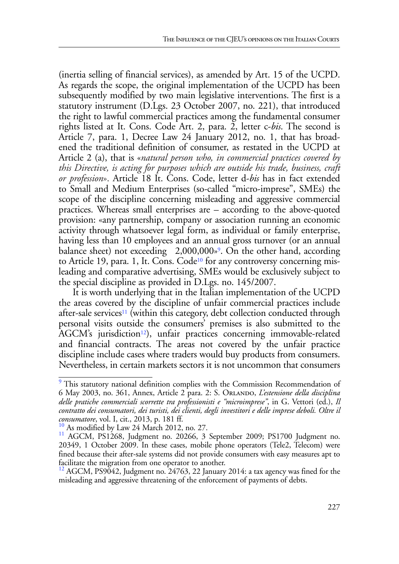(inertia selling of financial services), as amended by Art. 15 of the UCPD. As regards the scope, the original implementation of the UCPD has been subsequently modified by two main legislative interventions. The first is a statutory instrument (D.Lgs. 23 October 2007, no. 221), that introduced the right to lawful commercial practices among the fundamental consumer rights listed at It. Cons. Code Art. 2, para. 2, letter c-*bis*. The second is Article 7, para. 1, Decree Law 24 January 2012, no. 1, that has broadened the traditional definition of consumer, as restated in the UCPD at Article 2 (a), that is «*natural person who, in commercial practices covered by this Directive, is acting for purposes which are outside his trade, business, craft or profession*». Article 18 It. Cons. Code, letter d-*bis* has in fact extended to Small and Medium Enterprises (so-called "micro-imprese", SMEs) the scope of the discipline concerning misleading and aggressive commercial practices. Whereas small enterprises are – according to the above-quoted provision: «any partnership, company or association running an economic activity through whatsoever legal form, as individual or family enterprise, having less than 10 employees and an annual gross turnover (or an annual balance sheet) not exceeding  $\epsilon 2,000,000$ <sup>9</sup>. On the other hand, according to Article 19, para. 1, It. Cons. Code<sup>10</sup> for any controversy concerning misleading and comparative advertising, SMEs would be exclusively subject to the special discipline as provided in D.Lgs. no. 145/2007.

It is worth underlying that in the Italian implementation of the UCPD the areas covered by the discipline of unfair commercial practices include after-sale services<sup>11</sup> (within this category, debt collection conducted through personal visits outside the consumers' premises is also submitted to the AGCM's jurisdiction<sup>12</sup>), unfair practices concerning immovable-related and financial contracts. The areas not covered by the unfair practice discipline include cases where traders would buy products from consumers. Nevertheless, in certain markets sectors it is not uncommon that consumers

<sup>&</sup>lt;sup>9</sup> This statutory national definition complies with the Commission Recommendation of 6 May 2003, no. 361, Annex, Article 2 para. 2: S. Orlando, *L'estensione della disciplina delle pratiche commerciali scorrette tra professionisti e "microimprese"*, in G. Vettori (ed.), *Il contratto dei consumatori, dei turisti, dei clienti, degli investitori e delle imprese deboli. Oltre il* 

*consumatore*, vol. I, cit., 2013, p. 181 ff.<br><sup>10</sup> As modified by Law 24 March 2012, no. 27.<br><sup>11</sup> AGCM, PS1268, Judgment no. 20266, 3 September 2009; PS1700 Judgment no. 20349, 1 October 2009. In these cases, mobile phone operators (Tele2, Telecom) were fined because their after-sale systems did not provide consumers with easy measures apt to facilitate the migration from one operator to another.

 $12$  AGCM, PS9042, Judgment no. 24763, 22 January 2014: a tax agency was fined for the misleading and aggressive threatening of the enforcement of payments of debts.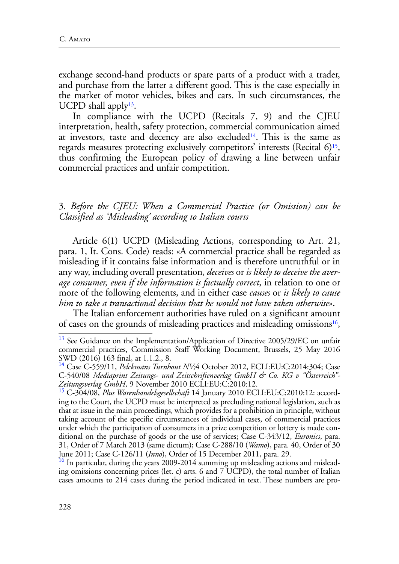exchange second-hand products or spare parts of a product with a trader, and purchase from the latter a different good. This is the case especially in the market of motor vehicles, bikes and cars. In such circumstances, the UCPD shall apply<sup>13</sup>.

In compliance with the UCPD (Recitals 7, 9) and the CJEU interpretation, health, safety protection, commercial communication aimed at investors, taste and decency are also excluded<sup>14</sup>. This is the same as regards measures protecting exclusively competitors' interests (Recital 6)<sup>15</sup>, thus confirming the European policy of drawing a line between unfair commercial practices and unfair competition.

#### 3. *Before the CJEU: When a Commercial Practice (or Omission) can be Classified as 'Misleading' according to Italian courts*

Article 6(1) UCPD (Misleading Actions, corresponding to Art. 21, para. 1, It. Cons. Code) reads: «A commercial practice shall be regarded as misleading if it contains false information and is therefore untruthful or in any way, including overall presentation, *deceives* or *is likely to deceive the average consumer, even if the information is factually correct*, in relation to one or more of the following elements, and in either case *causes* or *is likely to cause him to take a transactional decision that he would not have taken otherwise*».

The Italian enforcement authorities have ruled on a significant amount of cases on the grounds of misleading practices and misleading omissions<sup>16</sup>,

<sup>&</sup>lt;sup>13</sup> See Guidance on the Implementation/Application of Directive 2005/29/EC on unfair commercial practices, Commission Staff Working Document, Brussels, 25 May 2016 SWD (2016) 163 final, at 1.1.2., 8.

<sup>&</sup>lt;sup>14</sup> Case C-559/11, *Pelckmans Turnhout NV*;4 October 2012, ECLI:EU:C:2014:304; Case C-540/08 *Mediaprint Zeitungs- und Zeitschriftenverlag GmbH & Co. KG v "Österreich"- Zeitungsverlag GmbH*, 9 November 2010 ECLI:EU:C:2010:12.

<sup>15</sup> C-304/08, *Plus Warenhandelsgesellschaft* 14 January 2010 ECLI:EU:C:2010:12: according to the Court, the UCPD must be interpreted as precluding national legislation, such as that at issue in the main proceedings, which provides for a prohibition in principle, without taking account of the specific circumstances of individual cases, of commercial practices under which the participation of consumers in a prize competition or lottery is made conditional on the purchase of goods or the use of services; Case C-343/12, *Euronics*, para. 31, Order of 7 March 2013 (same dictum); Case C-288/10 (*Wamo*), para. 40, Order of 30 June 2011; Case C-126/11 (*Inno*), Order of 15 December 2011, para. 29.<br><sup>16</sup> In particular, during the years 2009-2014 summing up misleading actions and mislead-

ing omissions concerning prices (let. c) arts. 6 and 7 UCPD), the total number of Italian cases amounts to 214 cases during the period indicated in text. These numbers are pro-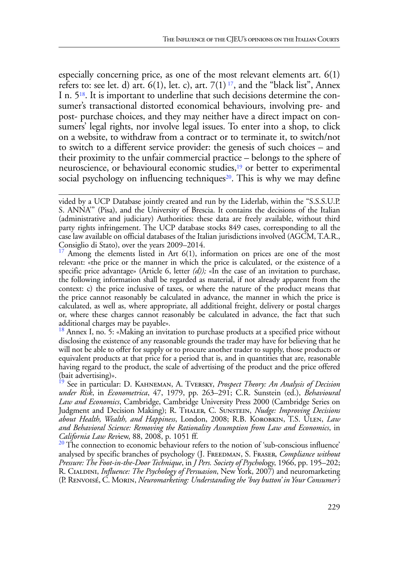especially concerning price, as one of the most relevant elements art. 6(1) refers to: see let. d) art.  $6(1)$ , let. c), art.  $7(1)^{17}$ , and the "black list", Annex I n. 518. It is important to underline that such decisions determine the consumer's transactional distorted economical behaviours, involving pre- and post- purchase choices, and they may neither have a direct impact on consumers' legal rights, nor involve legal issues. To enter into a shop, to click on a website, to withdraw from a contract or to terminate it, to switch/not to switch to a different service provider: the genesis of such choices – and their proximity to the unfair commercial practice – belongs to the sphere of neuroscience, or behavioural economic studies,<sup>19</sup> or better to experimental social psychology on influencing techniques<sup>20</sup>. This is why we may define

Among the elements listed in Art  $6(1)$ , information on prices are one of the most relevant: «the price or the manner in which the price is calculated, or the existence of a specific price advantage» (Article 6, letter *(d));* «In the case of an invitation to purchase, the following information shall be regarded as material, if not already apparent from the context: c) the price inclusive of taxes, or where the nature of the product means that the price cannot reasonably be calculated in advance, the manner in which the price is calculated, as well as, where appropriate, all additional freight, delivery or postal charges or, where these charges cannot reasonably be calculated in advance, the fact that such

additional charges may be payable».<br><sup>18</sup> Annex I, no. 5: «Making an invitation to purchase products at a specified price without disclosing the existence of any reasonable grounds the trader may have for believing that he will not be able to offer for supply or to procure another trader to supply, those products or equivalent products at that price for a period that is, and in quantities that are, reasonable having regard to the product, the scale of advertising of the product and the price offered (bait advertising)».

19 See in particular: D. Kahneman, A. Tversky, *Prospect Theory: An Analysis of Decision under Risk*, in *Econometrica*, 47, 1979, pp. 263–291; C.R. Sunstein (ed.), *Behavioural Law and Economics*, Cambridge, Cambridge University Press 2000 (Cambridge Series on Judgment and Decision Making); R. Thaler, C. Sunstein, *Nudge: Improving Decisions about Health, Wealth, and Happiness*, London, 2008; R.B. Korobkin, T.S. Ulen, *Law and Behavioral Science: Removing the Rationality Assumption from Law and Economics*, in

*California Law Rev*iew, 88, 2008, p. 1051 ff.<br><sup>20</sup> The connection to economic behaviour refers to the notion of 'sub-conscious influence' analysed by specific branches of psychology (J. Freedman, S. Fraser, *Compliance without Pressure: The Foot-in-the-Door Technique*, in *J Pers. Society of Psychol*ogy, 1966, pp. 195–202; R. Cialdini, *Influence: The Psychology of Persuasion*, New York, 2007) and neuromarketing (P. Renvoisé, C. Morin, *Neuromarketing: Understanding the 'buy button' in Your Consumer's* 

vided by a UCP Database jointly created and run by the Liderlab, within the "S.S.S.U.P. S. ANNA'" (Pisa), and the University of Brescia. It contains the decisions of the Italian (administrative and judiciary) Authorities: these data are freely available, without third party rights infringement. The UCP database stocks 849 cases, corresponding to all the case law available on official databases of the Italian jurisdictions involved (AGCM, T.A.R., Consiglio di Stato), over the years 2009–2014.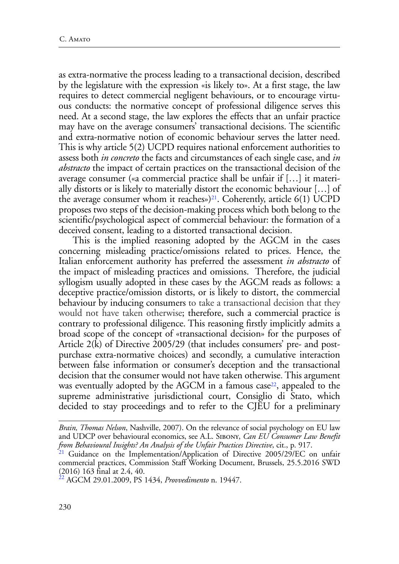as extra-normative the process leading to a transactional decision, described by the legislature with the expression «is likely to». At a first stage, the law requires to detect commercial negligent behaviours, or to encourage virtuous conducts: the normative concept of professional diligence serves this need. At a second stage, the law explores the effects that an unfair practice may have on the average consumers' transactional decisions. The scientific and extra-normative notion of economic behaviour serves the latter need. This is why article 5(2) UCPD requires national enforcement authorities to assess both *in concreto* the facts and circumstances of each single case, and *in abstracto* the impact of certain practices on the transactional decision of the average consumer («a commercial practice shall be unfair if […] it materially distorts or is likely to materially distort the economic behaviour […] of the average consumer whom it reaches»)<sup>21</sup>. Coherently, article  $6(1)$  UCPD proposes two steps of the decision-making process which both belong to the scientific/psychological aspect of commercial behaviour: the formation of a deceived consent, leading to a distorted transactional decision.

This is the implied reasoning adopted by the AGCM in the cases concerning misleading practice/omissions related to prices. Hence, the Italian enforcement authority has preferred the assessment *in abstracto* of the impact of misleading practices and omissions. Therefore, the judicial syllogism usually adopted in these cases by the AGCM reads as follows: a deceptive practice/omission distorts, or is likely to distort, the commercial behaviour by inducing consumers to take a transactional decision that they would not have taken otherwise; therefore, such a commercial practice is contrary to professional diligence. This reasoning firstly implicitly admits a broad scope of the concept of «transactional decision» for the purposes of Article 2(k) of Directive 2005/29 (that includes consumers' pre- and postpurchase extra-normative choices) and secondly, a cumulative interaction between false information or consumer's deception and the transactional decision that the consumer would not have taken otherwise. This argument was eventually adopted by the AGCM in a famous case<sup>22</sup>, appealed to the supreme administrative jurisdictional court, Consiglio di Stato, which decided to stay proceedings and to refer to the CJEU for a preliminary

*Brain, Thomas Nelson*, Nashville, 2007). On the relevance of social psychology on EU law and UDCP over behavioural economics, see A.L. Sibony, *Can EU Consumer Law Benefit from Behavioural Insights? An Analysis of the Unfair Practices Directive*, cit., p. 917.<br><sup>21</sup> Guidance on the Implementation/Application of Directive 2005/29/EC on unfair

commercial practices, Commission Staff Working Document, Brussels, 25.5.2016 SWD (2016) 163 final at 2.4, 40.

<sup>22</sup> AGCM 29.01.2009, PS 1434, *Provvedimento* n. 19447.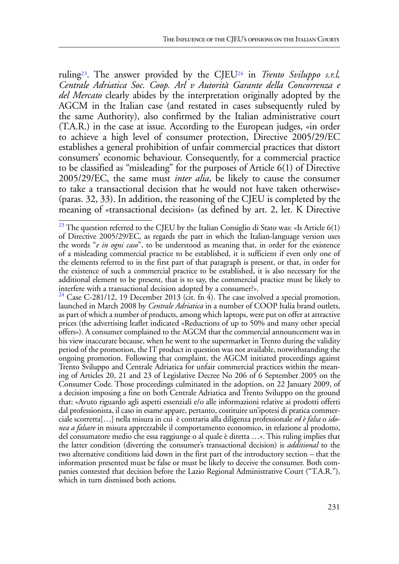ruling23. The answer provided by the CJEU24 in *Trento Sviluppo s.r.l, Centrale Adriatica Soc. Coop. Arl v Autorità Garante della Concorrenza e del Mercato* clearly abides by the interpretation originally adopted by the AGCM in the Italian case (and restated in cases subsequently ruled by the same Authority), also confirmed by the Italian administrative court (T.A.R.) in the case at issue*.* According to the European judges, «in order to achieve a high level of consumer protection, Directive 2005/29/EC establishes a general prohibition of unfair commercial practices that distort consumers' economic behaviour. Consequently, for a commercial practice to be classified as "misleading" for the purposes of Article 6(1) of Directive 2005/29/EC, the same must *inter alia*, be likely to cause the consumer to take a transactional decision that he would not have taken otherwise» (paras. 32, 33). In addition, the reasoning of the CJEU is completed by the meaning of «transactional decision» (as defined by art. 2, let. K Directive

 $^{23}$  The question referred to the CJEU by the Italian Consiglio di Stato was: «Is Article 6(1) of Directive 2005/29/EC, as regards the part in which the Italian-language version uses the words "*e in ogni caso*", to be understood as meaning that, in order for the existence of a misleading commercial practice to be established, it is sufficient if even only one of the elements referred to in the first part of that paragraph is present, or that, in order for the existence of such a commercial practice to be established, it is also necessary for the additional element to be present, that is to say, the commercial practice must be likely to interfere with a transactional decision adopted by a consumer?».

<sup>&</sup>lt;sup>24</sup> Case C-281/12, 19 December 2013 (cit. fn 4). The case involved a special promotion, launched in March 2008 by *Centrale Adriatica* in a number of COOP Italia brand outlets, as part of which a number of products, among which laptops, were put on offer at attractive prices (the advertising leaflet indicated «Reductions of up to 50% and many other special offers»). A consumer complained to the AGCM that the commercial announcement was in his view inaccurate because, when he went to the supermarket in Trento during the validity period of the promotion, the IT product in question was not available, notwithstanding the ongoing promotion. Following that complaint, the AGCM initiated proceedings against Trento Sviluppo and Centrale Adriatica for unfair commercial practices within the meaning of Articles 20, 21 and 23 of Legislative Decree No 206 of 6 September 2005 on the Consumer Code. Those proceedings culminated in the adoption, on 22 January 2009, of a decision imposing a fine on both Centrale Adriatica and Trento Sviluppo on the ground that: «Avuto riguardo agli aspetti essenziali e/o alle informazioni relative ai prodotti offerti dal professionista, il caso in esame appare, pertanto, costituire un'ipotesi di pratica commerciale scorretta[…] nella misura in cui è contraria alla diligenza professionale *ed è falsa* o *idonea a falsare* in misura apprezzabile il comportamento economico, in relazione al prodotto, del consumatore medio che essa raggiunge o al quale è diretta …». This ruling implies that the latter condition (diverting the consumer's transactional decision) is *additional* to the two alternative conditions laid down in the first part of the introductory section – that the information presented must be false or must be likely to deceive the consumer. Both companies contested that decision before the Lazio Regional Administrative Court ("T.A.R."), which in turn dismissed both actions.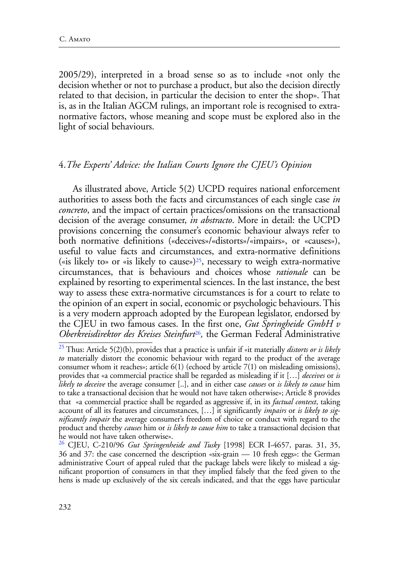2005/29), interpreted in a broad sense so as to include «not only the decision whether or not to purchase a product, but also the decision directly related to that decision, in particular the decision to enter the shop». That is, as in the Italian AGCM rulings, an important role is recognised to extranormative factors, whose meaning and scope must be explored also in the light of social behaviours.

#### 4.*The Experts' Advice: the Italian Courts Ignore the CJEU's Opinion*

As illustrated above, Article 5(2) UCPD requires national enforcement authorities to assess both the facts and circumstances of each single case *in concreto*, and the impact of certain practices/omissions on the transactional decision of the average consumer, *in abstracto*. More in detail: the UCPD provisions concerning the consumer's economic behaviour always refer to both normative definitions («deceives»/«distorts»/«impairs», or «causes»), useful to value facts and circumstances, and extra-normative definitions («is likely to» or «is likely to cause»)<sup>25</sup>, necessary to weigh extra-normative circumstances, that is behaviours and choices whose *rationale* can be explained by resorting to experimental sciences. In the last instance, the best way to assess these extra-normative circumstances is for a court to relate to the opinion of an expert in social, economic or psychologic behaviours. This is a very modern approach adopted by the European legislator, endorsed by the CJEU in two famous cases. In the first one, *Gut Springheide GmbH v Oberkreisdirektor des Kreises Steinfurt*26*,* the German Federal Administrative

<sup>25</sup> Thus: Article 5(2)(b), provides that a practice is unfair if «it materially *distorts or is likely to* materially distort the economic behaviour with regard to the product of the average consumer whom it reaches»; article  $6(1)$  (echoed by article  $7(1)$  on misleading omissions), provides that «a commercial practice shall be regarded as misleading if it […] *deceives* or *is likely to deceive* the average consumer [..], and in either case *causes* or *is likely to cause* him to take a transactional decision that he would not have taken otherwise»; Article 8 provides that «a commercial practice shall be regarded as aggressive if, in its *factual context*, taking account of all its features and circumstances, […] it significantly *impairs* or *is likely to significantly impair* the average consumer's freedom of choice or conduct with regard to the product and thereby *causes* him or *is likely to cause him* to take a transactional decision that he would not have taken otherwise».

<sup>26</sup> CJEU, C-210/96 *Gut Springenheide and Tusky* [1998] ECR I-4657, paras. 31, 35, 36 and 37: the case concerned the description «six-grain — 10 fresh eggs»: the German administrative Court of appeal ruled that the package labels were likely to mislead a significant proportion of consumers in that they implied falsely that the feed given to the hens is made up exclusively of the six cereals indicated, and that the eggs have particular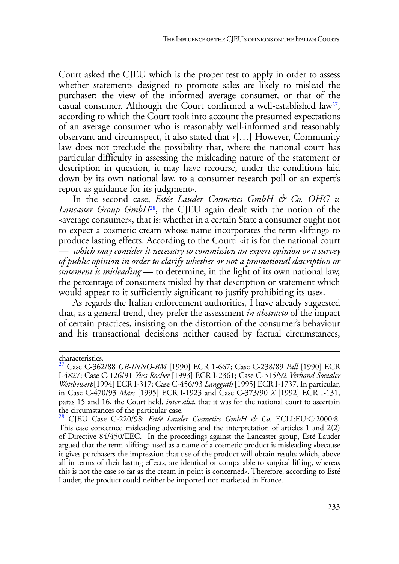Court asked the CJEU which is the proper test to apply in order to assess whether statements designed to promote sales are likely to mislead the purchaser: the view of the informed average consumer, or that of the casual consumer. Although the Court confirmed a well-established law<sup>27</sup>, according to which the Court took into account the presumed expectations of an average consumer who is reasonably well-informed and reasonably observant and circumspect, it also stated that «[…] However, Community law does not preclude the possibility that, where the national court has particular difficulty in assessing the misleading nature of the statement or description in question, it may have recourse, under the conditions laid down by its own national law, to a consumer research poll or an expert's report as guidance for its judgment».

In the second case, *Estée Lauder Cosmetics GmbH & Co. OHG v. Lancaster Group GmbH*28, the CJEU again dealt with the notion of the «average consumer», that is: whether in a certain State a consumer ought not to expect a cosmetic cream whose name incorporates the term «lifting» to produce lasting effects. According to the Court: «it is for the national court — *which may consider it necessary to commission an expert opinion or a survey of public opinion in order to clarify whether or not a promotional description or statement is misleading* — to determine, in the light of its own national law, the percentage of consumers misled by that description or statement which would appear to it sufficiently significant to justify prohibiting its use».

As regards the Italian enforcement authorities, I have already suggested that, as a general trend, they prefer the assessment *in abstracto* of the impact of certain practices, insisting on the distortion of the consumer's behaviour and his transactional decisions neither caused by factual circumstances,

characteristics.

<sup>27</sup> Case C-362/88 *GB-INNO-BM* [1990] ECR 1-667; Case C-238/89 *Pall* [1990] ECR I-4827; Case C-126/91 *Yves Rocher* [1993] ECR I-2361; Case C-315/92 *Verband Sozialer Wettbewerb*[1994] ECR I-317; Case C-456/93 *Langguth* [1995] ECR I-1737. In particular, in Case C-470/93 *Mars* [1995] ECR I-1923 and Case C-373/90 *X* [1992] ECR I-131, paras 15 and 16, the Court held, *inter alia*, that it was for the national court to ascertain the circumstances of the particular case.

<sup>28</sup> CJEU Case C-220/98: *Estéé Lauder Cosmetics GmbH & Co.* ECLI:EU:C:2000:8. This case concerned misleading advertising and the interpretation of articles 1 and 2(2) of Directive 84/450/EEC. In the proceedings against the Lancaster group, Esté Lauder argued that the term «lifting» used as a name of a cosmetic product is misleading «because it gives purchasers the impression that use of the product will obtain results which, above all in terms of their lasting effects, are identical or comparable to surgical lifting, whereas this is not the case so far as the cream in point is concerned». Therefore, according to Esté Lauder, the product could neither be imported nor marketed in France.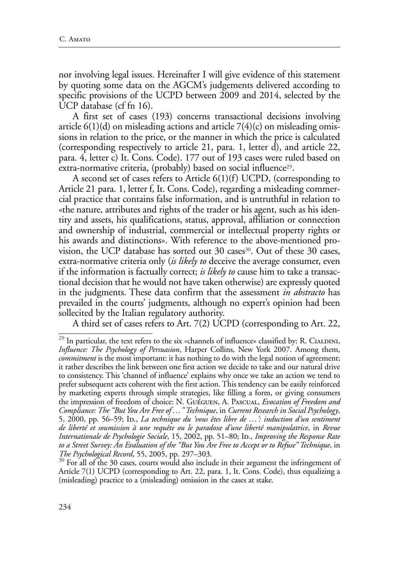nor involving legal issues. Hereinafter I will give evidence of this statement by quoting some data on the AGCM's judgements delivered according to specific provisions of the UCPD between 2009 and 2014, selected by the UCP database (cf fn 16).

A first set of cases (193) concerns transactional decisions involving article  $6(1)(d)$  on misleading actions and article  $7(4)(c)$  on misleading omissions in relation to the price, or the manner in which the price is calculated (corresponding respectively to article 21, para. 1, letter d), and article 22, para. 4, letter c) It. Cons. Code). 177 out of 193 cases were ruled based on extra-normative criteria, (probably) based on social influence<sup>29</sup>.

A second set of cases refers to Article 6(1)(f) UCPD, (corresponding to Article 21 para. 1, letter f, It. Cons. Code), regarding a misleading commercial practice that contains false information, and is untruthful in relation to «the nature, attributes and rights of the trader or his agent, such as his identity and assets, his qualifications, status, approval, affiliation or connection and ownership of industrial, commercial or intellectual property rights or his awards and distinctions». With reference to the above-mentioned provision, the UCP database has sorted out  $30 \text{ cases}^{30}$ . Out of these  $30 \text{ cases}$ , extra-normative criteria only (*is likely to* deceive the average consumer, even if the information is factually correct; *is likely to* cause him to take a transactional decision that he would not have taken otherwise) are expressly quoted in the judgments. These data confirm that the assessment *in abstracto* has prevailed in the courts' judgments, although no expert's opinion had been sollecited by the Italian regulatory authority.

A third set of cases refers to Art. 7(2) UCPD (corresponding to Art. 22,

 $^{29}$  In particular, the text refers to the six «channels of influence» classified by: R. CIALDINI, *Influence: The Psychology of Persuasion*, Harper Collins, New York 2007. Among them, *commitment* is the most important: it has nothing to do with the legal notion of agreement; it rather describes the link between one first action we decide to take and our natural drive to consistency. This 'channel of influence' explains why once we take an action we tend to prefer subsequent acts coherent with the first action. This tendency can be easily reinforced by marketing experts through simple strategies, like filling a form, or giving consumers the impression of freedom of choice: N. Guéguen, A. Pascual, *Evocation of Freedom and Compliance: The "But You Are Free of …" Technique*, in *Current Research in Social Psychology*, 5, 2000, pp. 56–59; Id., *La technique du 'vous êtes libre de …': induction d'un sentiment de liberté et soumission à une requête ou le paradoxe d'une liberté manipulatrice*, in *Revue Internationale de Psychologie Sociale*, 15, 2002, pp. 51–80; ID., *Improving the Response Rate to a Street Survey: An Evaluation of the "But You Are Free to Accept or to Refuse" Technique*, in

*The Psychological Record*, 55, 2005, pp. 297–303.<br><sup>30</sup> For all of the 30 cases, courts would also include in their argument the infringement of Article 7(1) UCPD (corresponding to Art. 22, para. 1, It. Cons. Code), thus equalizing a (misleading) practice to a (misleading) omission in the cases at stake.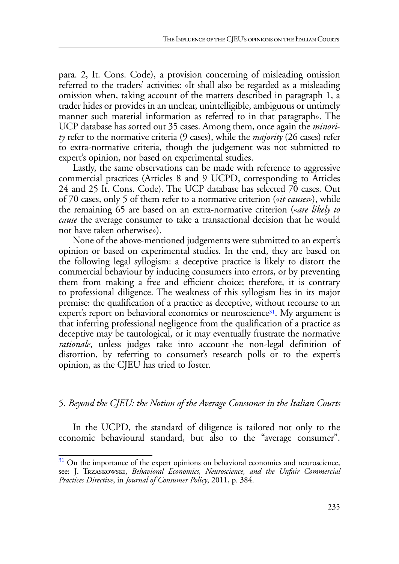para. 2, It. Cons. Code), a provision concerning of misleading omission referred to the traders' activities: «It shall also be regarded as a misleading omission when, taking account of the matters described in paragraph 1, a trader hides or provides in an unclear, unintelligible, ambiguous or untimely manner such material information as referred to in that paragraph». The UCP database has sorted out 35 cases. Among them, once again the *minority* refer to the normative criteria (9 cases), while the *majority* (26 cases) refer to extra-normative criteria, though the judgement was not submitted to expert's opinion, nor based on experimental studies.

Lastly, the same observations can be made with reference to aggressive commercial practices (Articles 8 and 9 UCPD, corresponding to Articles 24 and 25 It. Cons. Code). The UCP database has selected 70 cases. Out of 70 cases, only 5 of them refer to a normative criterion («*it causes»*), while the remaining 65 are based on an extra-normative criterion («*are likely to cause* the average consumer to take a transactional decision that he would not have taken otherwise»).

None of the above-mentioned judgements were submitted to an expert's opinion or based on experimental studies. In the end, they are based on the following legal syllogism: a deceptive practice is likely to distort the commercial behaviour by inducing consumers into errors, or by preventing them from making a free and efficient choice; therefore, it is contrary to professional diligence. The weakness of this syllogism lies in its major premise: the qualification of a practice as deceptive, without recourse to an expert's report on behavioral economics or neuroscience<sup>31</sup>. My argument is that inferring professional negligence from the qualification of a practice as deceptive may be tautological, or it may eventually frustrate the normative *rationale*, unless judges take into account the non-legal definition of distortion, by referring to consumer's research polls or to the expert's opinion, as the CJEU has tried to foster.

#### 5. *Beyond the CJEU: the Notion of the Average Consumer in the Italian Courts*

In the UCPD, the standard of diligence is tailored not only to the economic behavioural standard, but also to the "average consumer".

 $31$  On the importance of the expert opinions on behavioral economics and neuroscience, see: J. Trzaskowski, *Behavioral Economics, Neuroscience, and the Unfair Commercial Practices Directive*, in *Journal of Consumer Policy*, 2011, p. 384.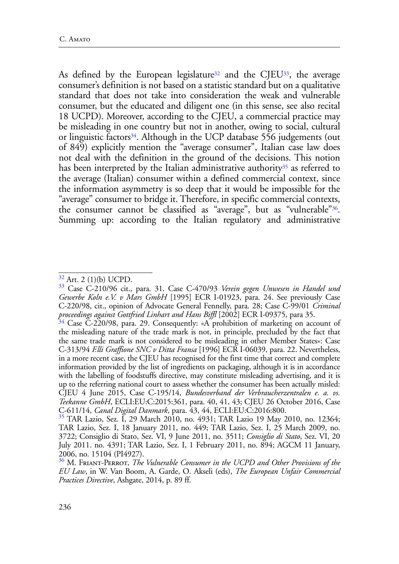As defined by the European legislature<sup>32</sup> and the CJEU<sup>33</sup>, the average consumer's definition is not based on a statistic standard but on a qualitative standard that does not take into consideration the weak and vulnerable consumer, but the educated and diligent one (in this sense, see also recital 18 UCPD). Moreover, according to the CJEU, a commercial practice may be misleading in one country but not in another, owing to social, cultural or linguistic factors<sup>34</sup>. Although in the UCP database  $556$  judgements (out of 849) explicitly mention the "average consumer", Italian case law does not deal with the definition in the ground of the decisions. This notion has been interpreted by the Italian administrative authority<sup>35</sup> as referred to the average (Italian) consumer within a defined commercial context, since the information asymmetry is so deep that it would be impossible for the "average" consumer to bridge it. Therefore, in specific commercial contexts, the consumer cannot be classified as "average", but as "vulnerable"36. Summing up: according to the Italian regulatory and administrative

 $32$  Art. 2 (1)(b) UCPD.

<sup>33</sup> Case C-210/96 cit., para. 31. Case C-470/93 *Verein gegen Unwesen in Handel und Gewerbe Koln e.V. v Mars GmbH* [1995] ECR I-01923, para. 24. See previously Case C-220/98, cit., opinion of Advocate General Fennelly, para. 28; Case C-99/01 *Criminal* 

<sup>&</sup>lt;sup>34</sup> Case C-220/98, para. 29. Consequently: «A prohibition of marketing on account of the misleading nature of the trade mark is not, in principle, precluded by the fact that the same trade mark is not considered to be misleading in other Member States»: Case C-313/94 *F.lli Graffione SNC v Ditta Fransa* [1996] ECR I-06039, para. 22. Nevertheless, in a more recent case, the CJEU has recognised for the first time that correct and complete information provided by the list of ingredients on packaging, although it is in accordance with the labelling of foodstuffs directive, may constitute misleading advertising, and it is up to the referring national court to assess whether the consumer has been actually misled: CJEU 4 June 2015, Case C-195/14, *Bundesverband der Verbraucherzentralen e. a. vs. Teekanne GmbH*, ECLI:EU:C:2015:361, para. 40, 41, 43; CJEU 26 October 2016, Case

C-611/14, *Canal Digital Danmark*, para. 43, 44, ECLI:EU:C:2016:800. 35 TAR Lazio, Sez. I, 29 March 2010, no. 4931; TAR Lazio 19 May 2010, no. 12364; TAR Lazio, Sez. I, 18 January 2011, no. 449; TAR Lazio, Sez. I, 25 March 2009, no. 3722; Consiglio di Stato, Sez. VI, 9 June 2011, no. 3511; *Consiglio di Stato*, Sez. VI, 20 July 2011. no. 4391; TAR Lazio, Sez. I, 1 February 2011, no. 894; AGCM 11 January, 2006, no. 15104 (PI4927).

<sup>36</sup> M. Friant-Perrot, *The Vulnerable Consumer in the UCPD and Other Provisions of the EU Law*, in W. Van Boom, A. Garde, O. Akseli (eds), *The European Unfair Commercial Practices Directive*, Ashgate, 2014, p. 89 ff.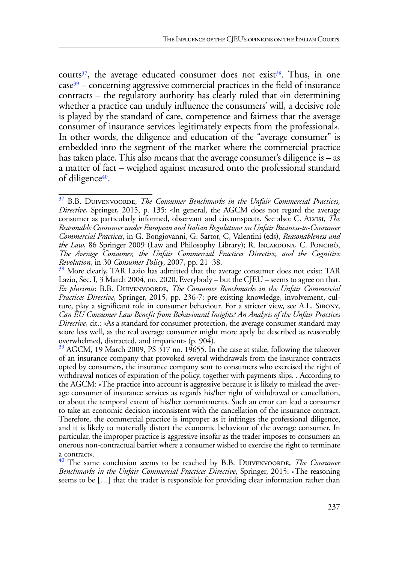courts<sup>37</sup>, the average educated consumer does not exist<sup>38</sup>. Thus, in one  $case<sup>39</sup> - concerning agressive commercial practices in the field of insurance$ contracts – the regulatory authority has clearly ruled that «in determining whether a practice can unduly influence the consumers' will, a decisive role is played by the standard of care, competence and fairness that the average consumer of insurance services legitimately expects from the professional». In other words, the diligence and education of the "average consumer" is embedded into the segment of the market where the commercial practice has taken place. This also means that the average consumer's diligence is  $-$  as a matter of fact – weighed against measured onto the professional standard of diligence<sup>40</sup>.

<sup>&</sup>lt;sup>37</sup> B.B. DUIVENVOORDE, *The Consumer Benchmarks in the Unfair Commercial Practices*, *Directive*, Springer, 2015, p. 135: «In general, the AGCM does not regard the average consumer as particularly informed, observant and circumspect». See also: C. Alvisi, *The Reasonable Consumer under European and Italian Regulations on Unfair Business-to-Consumer Commercial Practices*, in G. Bongiovanni, G. Sartor, C, Valentini (eds), *Reasonableness and the Law*, 86 Springer 2009 (Law and Philosophy Library); R. INCARDONA, C. PONCIBÒ, *The Average Consumer, the Unfair Commercial Practices Directive, and the Cognitive* 

<sup>&</sup>lt;sup>38</sup> More clearly, TAR Lazio has admitted that the average consumer does not exist: TAR Lazio, Sec. I, 3 March 2004, no. 2020. Everybody – but the CJEU – seems to agree on that. *Ex plurimis*: B.B. Duivenvoorde, *The Consumer Benchmarks in the Unfair Commercial Practices Directive*, Springer, 2015, pp. 236-7: pre-existing knowledge, involvement, culture, play a significant role in consumer behaviour. For a stricter view, see A.L. Sibony, *Can EU Consumer Law Benefit from Behavioural Insights? An Analysis of the Unfair Practices Directive*, cit.: «As a standard for consumer protection, the average consumer standard may score less well, as the real average consumer might more aptly be described as reasonably overwhelmed, distracted, and impatient» (p. 904).

 $39$  AGCM, 19 March 2009, PS  $317$  no. 19655. In the case at stake, following the takeover of an insurance company that provoked several withdrawals from the insurance contracts opted by consumers, the insurance company sent to consumers who exercised the right of withdrawal notices of expiration of the policy, together with payments slips. . According to the AGCM: «The practice into account is aggressive because it is likely to mislead the average consumer of insurance services as regards his/her right of withdrawal or cancellation, or about the temporal extent of his/her commitments. Such an error can lead a consumer to take an economic decision inconsistent with the cancellation of the insurance contract. Therefore, the commercial practice is improper as it infringes the professional diligence, and it is likely to materially distort the economic behaviour of the average consumer. In particular, the improper practice is aggressive insofar as the trader imposes to consumers an onerous non-contractual barrier where a consumer wished to exercise the right to terminate a contract».

<sup>&</sup>lt;sup>40</sup> The same conclusion seems to be reached by B.B. DUIVENVOORDE, *The Consumer Benchmarks in the Unfair Commercial Practices Directive*, Springer, 2015: «The reasoning seems to be […] that the trader is responsible for providing clear information rather than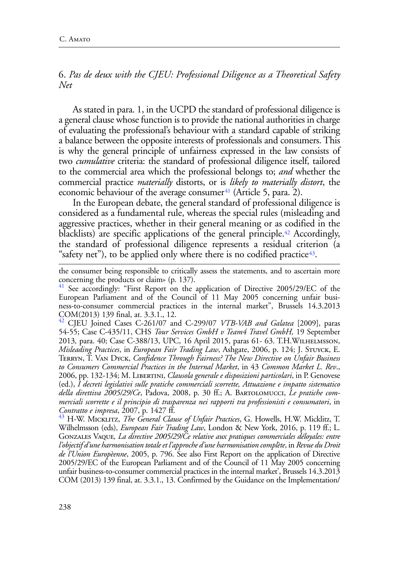6. *Pas de deux with the CJEU: Professional Diligence as a Theoretical Safety Net*

As stated in para. 1, in the UCPD the standard of professional diligence is a general clause whose function is to provide the national authorities in charge of evaluating the professional's behaviour with a standard capable of striking a balance between the opposite interests of professionals and consumers. This is why the general principle of unfairness expressed in the law consists of two *cumulative* criteria: the standard of professional diligence itself, tailored to the commercial area which the professional belongs to; *and* whether the commercial practice *materially* distorts, or is *likely to materially distort*, the economic behaviour of the average consumer<sup>41</sup> (Article 5, para. 2).

In the European debate, the general standard of professional diligence is considered as a fundamental rule, whereas the special rules (misleading and aggressive practices, whether in their general meaning or as codified in the blacklists) are specific applications of the general principle.<sup>42</sup> Accordingly, the standard of professional diligence represents a residual criterion (a "safety net"), to be applied only where there is no codified practice $43$ .

the consumer being responsible to critically assess the statements, and to ascertain more concerning the products or claim» (p. 137).

 $41$  See accordingly: "First Report on the application of Directive 2005/29/EC of the European Parliament and of the Council of 11 May 2005 concerning unfair business-to-consumer commercial practices in the internal market", Brussels 14.3.2013 COM(2013) 139 final, at. 3.3.1., 12.

<sup>42</sup> CJEU Joined Cases C-261/07 and C-299/07 *VTB-VAB and Galatea* [2009], paras 54-55; Case C-435/11, CHS *Tour Services GmbH v Team4 Travel GmbH,* 19 September 2013*,* para. 40; Case C-388/13, UPC, 16 April 2015, paras 61- 63. T.H.Wilhelmsson, *Misleading Practices*, in *European Fair Trading Law*, Ashgate, 2006, p. 124; J. Stuyck, E. Terryn, T. Van Dyck, *Confidence Through Fairness? The New Directive on Unfair Business to Consumers Commercial Practices in the Internal Market*, in 43 *Common Market L. Rev*., 2006, pp. 132-134; M. Libertini, *Clausola generale e disposizioni particolari*, in P. Genovese (ed.), *I decreti legislativi sulle pratiche commerciali scorrette, Attuazione e impatto sistematico della direttiva 2005/29/Ce*, Padova, 2008, p. 30 ff.; A. Bartolomucci, *Le pratiche commerciali scorrette e il principio di trasparenza nei rapporti tra professionisti e consumatori*, in *Contratto e impresa*, 2007, p. 1427 ff. 43 H-W. Micklitz, *The General Clause of Unfair Practices*, G. Howells, H.W. Micklitz, T.

Wilhelmsson (eds), *European Fair Trading Law*, London & New York, 2016, p. 119 ff.; L. Gonzales Vaque*, La directive 2005/29/Ce relative aux pratiques commerciales déloyales: entre l'objectif d'une harmonisation totale et l'approche d'une harmonisation complète*, in *Revue du Droit de l'Union Europèenne*, 2005, p. 796. See also First Report on the application of Directive 2005/29/EC of the European Parliament and of the Council of 11 May 2005 concerning unfair business-to-consumer commercial practices in the internal market', Brussels 14.3.2013 COM (2013) 139 final, at. 3.3.1., 13. Confirmed by the Guidance on the Implementation/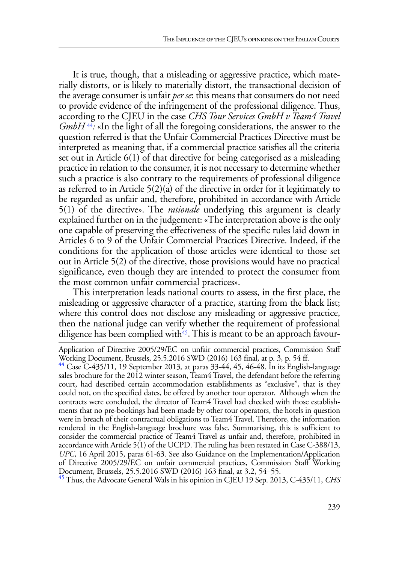It is true, though, that a misleading or aggressive practice, which materially distorts, or is likely to materially distort, the transactional decision of the average consumer is unfair *per se*: this means that consumers do not need to provide evidence of the infringement of the professional diligence. Thus, according to the CJEU in the case *CHS Tour Services GmbH v Team4 Travel GmbH*<sup>44</sup>: «In the light of all the foregoing considerations, the answer to the question referred is that the Unfair Commercial Practices Directive must be interpreted as meaning that, if a commercial practice satisfies all the criteria set out in Article 6(1) of that directive for being categorised as a misleading practice in relation to the consumer, it is not necessary to determine whether such a practice is also contrary to the requirements of professional diligence as referred to in Article 5(2)(a) of the directive in order for it legitimately to be regarded as unfair and, therefore, prohibited in accordance with Article 5(1) of the directive». The *rationale* underlying this argument is clearly explained further on in the judgement: «The interpretation above is the only one capable of preserving the effectiveness of the specific rules laid down in Articles 6 to 9 of the Unfair Commercial Practices Directive. Indeed, if the conditions for the application of those articles were identical to those set out in Article 5(2) of the directive, those provisions would have no practical significance, even though they are intended to protect the consumer from the most common unfair commercial practices».

This interpretation leads national courts to assess, in the first place, the misleading or aggressive character of a practice, starting from the black list; where this control does not disclose any misleading or aggressive practice, then the national judge can verify whether the requirement of professional diligence has been complied with<sup>45</sup>. This is meant to be an approach favour-

45 Thus, the Advocate General Wals in his opinion in CJEU 19 Sep. 2013, C-435/11, *CHS* 

Application of Directive 2005/29/EC on unfair commercial practices, Commission Staff Working Document, Brussels, 25.5.2016 SWD (2016) 163 final, at p. 3, p. 54 ff.

<sup>44</sup> Case C-435/11*,* 19 September 2013*,* at paras 33-44, 45, 46-48. In its English-language sales brochure for the 2012 winter season, Team4 Travel, the defendant before the referring court, had described certain accommodation establishments as "exclusive", that is they could not, on the specified dates, be offered by another tour operator. Although when the contracts were concluded, the director of Team4 Travel had checked with those establishments that no pre-bookings had been made by other tour operators, the hotels in question were in breach of their contractual obligations to Team4 Travel. Therefore, the information rendered in the English-language brochure was false. Summarising, this is sufficient to consider the commercial practice of Team4 Travel as unfair and, therefore, prohibited in accordance with Article 5(1) of the UCPD. The ruling has been restated in Case C-388/13, *UPC*, 16 April 2015, paras 61-63. See also Guidance on the Implementation/Application of Directive 2005/29/EC on unfair commercial practices, Commission Staff Working Document, Brussels, 25.5.2016 SWD (2016) 163 final, at 3.2, 54–55.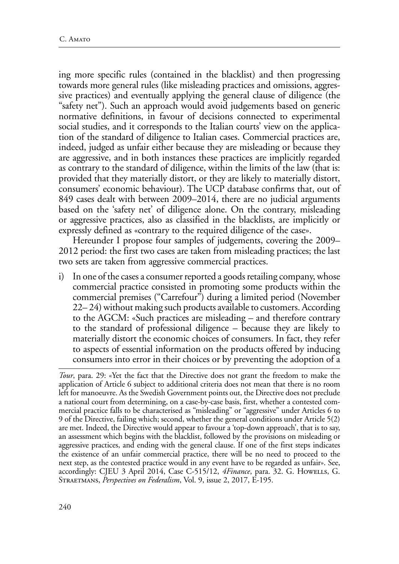ing more specific rules (contained in the blacklist) and then progressing towards more general rules (like misleading practices and omissions, aggressive practices) and eventually applying the general clause of diligence (the "safety net"). Such an approach would avoid judgements based on generic normative definitions, in favour of decisions connected to experimental social studies, and it corresponds to the Italian courts' view on the application of the standard of diligence to Italian cases. Commercial practices are, indeed, judged as unfair either because they are misleading or because they are aggressive, and in both instances these practices are implicitly regarded as contrary to the standard of diligence, within the limits of the law (that is: provided that they materially distort, or they are likely to materially distort, consumers' economic behaviour). The UCP database confirms that, out of 849 cases dealt with between 2009–2014, there are no judicial arguments based on the 'safety net' of diligence alone. On the contrary, misleading or aggressive practices, also as classified in the blacklists, are implicitly or expressly defined as «contrary to the required diligence of the case».

Hereunder I propose four samples of judgements, covering the 2009– 2012 period: the first two cases are taken from misleading practices; the last two sets are taken from aggressive commercial practices.

i) In one of the cases a consumer reported a goods retailing company, whose commercial practice consisted in promoting some products within the commercial premises ("Carrefour") during a limited period (November 22– 24) without making such products available to customers. According to the AGCM: «Such practices are misleading – and therefore contrary to the standard of professional diligence – because they are likely to materially distort the economic choices of consumers. In fact, they refer to aspects of essential information on the products offered by inducing consumers into error in their choices or by preventing the adoption of a

*Tour*, para. 29: «Yet the fact that the Directive does not grant the freedom to make the application of Article 6 subject to additional criteria does not mean that there is no room left for manoeuvre. As the Swedish Government points out, the Directive does not preclude a national court from determining, on a case-by-case basis, first, whether a contested commercial practice falls to be characterised as "misleading" or "aggressive" under Articles 6 to 9 of the Directive, failing which; second, whether the general conditions under Article 5(2) are met. Indeed, the Directive would appear to favour a 'top-down approach', that is to say, an assessment which begins with the blacklist, followed by the provisions on misleading or aggressive practices, and ending with the general clause. If one of the first steps indicates the existence of an unfair commercial practice, there will be no need to proceed to the next step, as the contested practice would in any event have to be regarded as unfair». See, accordingly: CJEU 3 April 2014, Case C-515/12, *4Finance*, para. 32. G. Howells, G. Straetmans, *Perspectives on Federalism*, Vol. 9, issue 2, 2017, E-195.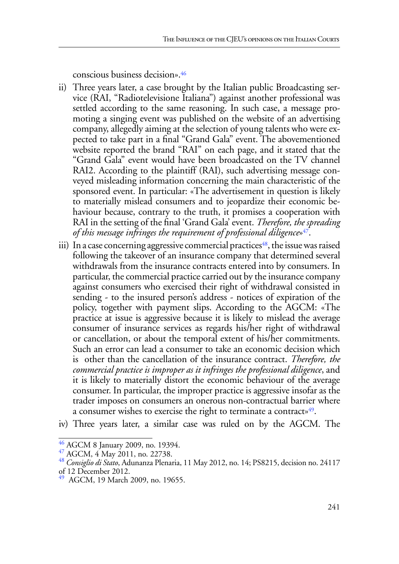conscious business decision».46

- ii) Three years later, a case brought by the Italian public Broadcasting service (RAI, "Radiotelevisione Italiana") against another professional was settled according to the same reasoning. In such case, a message promoting a singing event was published on the website of an advertising company, allegedly aiming at the selection of young talents who were expected to take part in a final "Grand Gala" event. The abovementioned website reported the brand "RAI" on each page, and it stated that the "Grand Gala" event would have been broadcasted on the TV channel RAI2. According to the plaintiff (RAI), such advertising message conveyed misleading information concerning the main characteristic of the sponsored event. In particular: «The advertisement in question is likely to materially mislead consumers and to jeopardize their economic behaviour because, contrary to the truth, it promises a cooperation with RAI in the setting of the final 'Grand Gala' event. *Therefore, the spreading of this message infringes the requirement of professional diligence*»47.
- iii) In a case concerning aggressive commercial practices<sup>48</sup>, the issue was raised following the takeover of an insurance company that determined several withdrawals from the insurance contracts entered into by consumers. In particular, the commercial practice carried out by the insurance company against consumers who exercised their right of withdrawal consisted in sending - to the insured person's address - notices of expiration of the policy, together with payment slips. According to the AGCM: «The practice at issue is aggressive because it is likely to mislead the average consumer of insurance services as regards his/her right of withdrawal or cancellation, or about the temporal extent of his/her commitments. Such an error can lead a consumer to take an economic decision which is other than the cancellation of the insurance contract. *Therefore, the commercial practice is improper as it infringes the professional diligence*, and it is likely to materially distort the economic behaviour of the average consumer. In particular, the improper practice is aggressive insofar as the trader imposes on consumers an onerous non-contractual barrier where a consumer wishes to exercise the right to terminate a contract»<sup>49</sup>.
- iv) Three years later, a similar case was ruled on by the AGCM. The

<sup>46</sup> AGCM 8 January 2009, no. 19394. 47 AGCM, 4 May 2011, no. 22738. 48 *Consiglio di Stato*, Adunanza Plenaria, 11 May 2012, no. 14; PS8215, decision no. 24117 of 12 December 2012.

<sup>&</sup>lt;sup>49</sup> AGCM, 19 March 2009, no. 19655.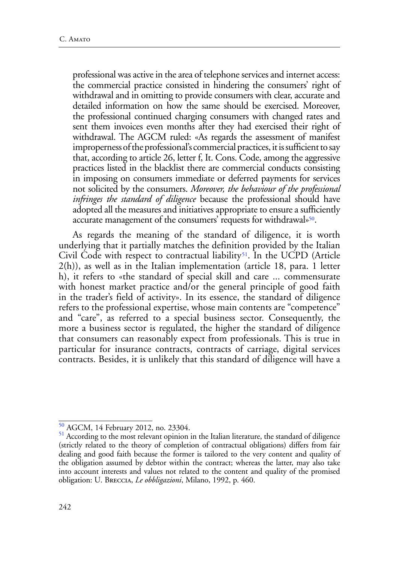professional was active in the area of telephone services and internet access: the commercial practice consisted in hindering the consumers' right of withdrawal and in omitting to provide consumers with clear, accurate and detailed information on how the same should be exercised. Moreover, the professional continued charging consumers with changed rates and sent them invoices even months after they had exercised their right of withdrawal. The AGCM ruled: «As regards the assessment of manifest improperness of the professional's commercial practices, it is sufficient to say that, according to article 26, letter f, It. Cons. Code, among the aggressive practices listed in the blacklist there are commercial conducts consisting in imposing on consumers immediate or deferred payments for services not solicited by the consumers. *Moreover, the behaviour of the professional infringes the standard of diligence* because the professional should have adopted all the measures and initiatives appropriate to ensure a sufficiently accurate management of the consumers' requests for withdrawal»50.

As regards the meaning of the standard of diligence, it is worth underlying that it partially matches the definition provided by the Italian Civil Code with respect to contractual liability<sup>51</sup>. In the UCPD (Article 2(h)), as well as in the Italian implementation (article 18, para. 1 letter h), it refers to «the standard of special skill and care ... commensurate with honest market practice and/or the general principle of good faith in the trader's field of activity». In its essence, the standard of diligence refers to the professional expertise, whose main contents are "competence" and "care", as referred to a special business sector. Consequently, the more a business sector is regulated, the higher the standard of diligence that consumers can reasonably expect from professionals. This is true in particular for insurance contracts, contracts of carriage, digital services contracts. Besides, it is unlikely that this standard of diligence will have a

 $^{50}$  AGCM, 14 February 2012, no. 23304.<br><sup>51</sup> According to the most relevant opinion in the Italian literature, the standard of diligence (strictly related to the theory of completion of contractual obligations) differs from fair dealing and good faith because the former is tailored to the very content and quality of the obligation assumed by debtor within the contract; whereas the latter, may also take into account interests and values not related to the content and quality of the promised obligation: U. Breccia, *Le obbligazioni*, Milano, 1992, p. 460.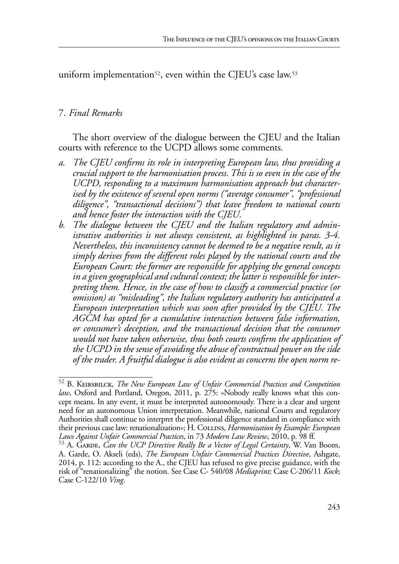uniform implementation<sup>52</sup>, even within the CJEU's case law.<sup>53</sup>

### 7. *Final Remarks*

The short overview of the dialogue between the CJEU and the Italian courts with reference to the UCPD allows some comments.

- *a. The CJEU confirms its role in interpreting European law, thus providing a crucial support to the harmonisation process. This is so even in the case of the UCPD, responding to a maximum harmonisation approach but characterised by the existence of several open norms ("average consumer", "professional diligence", "transactional decisions") that leave freedom to national courts and hence foster the interaction with the CJEU.*
- *b. The dialogue between the CJEU and the Italian regulatory and administrative authorities is not always consistent, as highlighted in paras. 3-4. Nevertheless, this inconsistency cannot be deemed to be a negative result, as it simply derives from the different roles played by the national courts and the European Court: the former are responsible for applying the general concepts in a given geographical and cultural context; the latter is responsible for interpreting them. Hence, in the case of how to classify a commercial practice (or omission) as "misleading", the Italian regulatory authority has anticipated a European interpretation which was soon after provided by the CJEU. The AGCM has opted for a cumulative interaction between false information, or consumer's deception, and the transactional decision that the consumer would not have taken otherwise, thus both courts confirm the application of the UCPD in the sense of avoiding the abuse of contractual power on the side of the trader. A fruitful dialogue is also evident as concerns the open norm re-*

<sup>52</sup> B. Keirsbilck, *The New European Law of Unfair Commercial Practices and Competition law*, Oxford and Portland, Oregon, 2011, p. 275: «Nobody really knows what this concept means. In any event, it must be interpreted autonomously. There is a clear and urgent need for an autonomous Union interpretation. Meanwhile, national Courts and regulatory Authorities shall continue to interpret the professional diligence standard in compliance with their previous case law: renationalization»; H. Collins, *Harmonization by Example: European Laws Against Unfair Commercial Practices*, in 73 *Modern Law Review*, 2010, p. 98 ff.<br><sup>53</sup> A. Garde, *Can the UCP Directive Really Be a Vector of Legal Certainty*, W. Van Boom,

A. Garde, O. Akseli (eds), *The European Unfair Commercial Practices Directive*, Ashgate, 2014, p. 112: according to the A., the CJEU has refused to give precise guidance, with the risk of "renationalizing" the notion. See Case C- 540/08 *Mediaprint;* Case C-206/11 *Kock*; Case C-122/10 *Ving*.